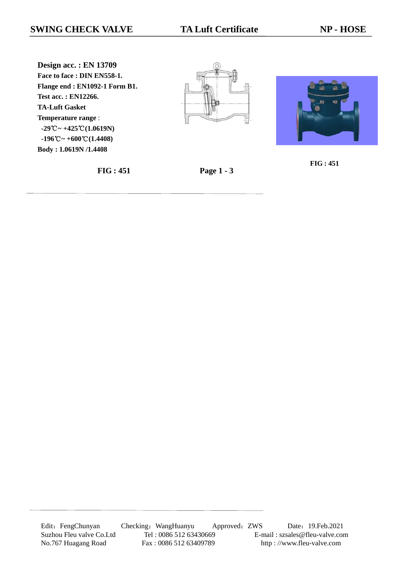**Design acc. : EN 13709 Face to face : DIN EN558-1. Flange end : EN1092-1 Form B1. Test acc. : EN12266. TA-Luft Gasket Temperature range** :  **-29℃ ~ +425℃ (1.0619N)**  $-196^{\circ}\text{C} \sim +600^{\circ}\text{C} (1.4408)$ **Body : 1.0619N /1.4408**







**FIG : 451 Page 1 - 3**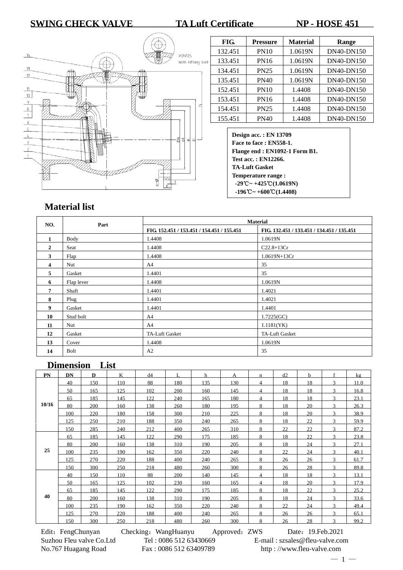## **SWING CHECK VALVE TA Luft Certificate NP - HOSE 451**



| FIG.    | <b>Pressure</b> | <b>Material</b> | Range             |
|---------|-----------------|-----------------|-------------------|
| 132.451 | <b>PN10</b>     | 1.0619N         | <b>DN40-DN150</b> |
| 133.451 | PN16            | 1.0619N         | <b>DN40-DN150</b> |
| 134.451 | <b>PN25</b>     | 1.0619N         | <b>DN40-DN150</b> |
| 135.451 | <b>PN40</b>     | 1.0619N         | <b>DN40-DN150</b> |
| 152.451 | <b>PN10</b>     | 1.4408          | DN40-DN150        |
| 153.451 | PN16            | 1.4408          | <b>DN40-DN150</b> |
| 154.451 | PN25            | 1.4408          | <b>DN40-DN150</b> |
| 155.451 | PN40            | 1.4408          | <b>DN40-DN150</b> |

**Design acc. : EN 13709 Face to face : EN558-1. Flange end : EN1092-1 Form B1. Test acc. : EN12266. TA-Luft Gasket Temperature range : -29℃ ~ +425℃ (1.0619N) -196 ~ +** ℃ **600 (** ℃ **1.4408)** 

## **Material list**

| NO.          | Part       | <b>Material</b>                            |                                            |  |  |  |  |
|--------------|------------|--------------------------------------------|--------------------------------------------|--|--|--|--|
|              |            | FIG. 152.451 / 153.451 / 154.451 / 155.451 | FIG. 132.451 / 133.451 / 134.451 / 135.451 |  |  |  |  |
| $\mathbf{1}$ | Body       | 1.4408                                     | 1.0619N                                    |  |  |  |  |
| $\mathbf{2}$ | Seat       | 1.4408                                     | $C22.8 + 13Cr$                             |  |  |  |  |
| 3            | Flap       | 1.4408                                     | $1.0619N+13Cr$                             |  |  |  |  |
| 4            | Nut        | A4                                         | 35                                         |  |  |  |  |
| 5            | Gasket     | 1.4401                                     | 35                                         |  |  |  |  |
| 6            | Flap lever | 1.4408                                     | 1.0619N                                    |  |  |  |  |
| 7            | Shaft      | 1.4401                                     | 1.4021                                     |  |  |  |  |
| 8            | Plug       | 1.4401                                     | 1.4021                                     |  |  |  |  |
| 9            | Gasket     | 1.4401                                     | 1.4401                                     |  |  |  |  |
| 10           | Stud bolt  | A4                                         | 1.7225(GC)                                 |  |  |  |  |
| 11           | Nut        | A <sup>4</sup>                             | 1.1181(YK)                                 |  |  |  |  |
| 12           | Gasket     | TA-Luft Gasket                             | TA-Luft Gasket                             |  |  |  |  |
| 13           | Cover      | 1.4408                                     | 1.0619N                                    |  |  |  |  |
| 14           | Bolt       | A2                                         | 35                                         |  |  |  |  |

## **Dimension List**

| PN    | DN  | $\mathbf{D}$ | K   | d4  | $\mathbf{L}$ | h   | A   | n              | d2 | $\mathbf{h}$ | $\mathbf{f}$  | kg   |
|-------|-----|--------------|-----|-----|--------------|-----|-----|----------------|----|--------------|---------------|------|
|       | 40  | 150          | 110 | 88  | 180          | 135 | 130 | $\overline{4}$ | 18 | 18           | $\mathbf{3}$  | 11.0 |
|       | 50  | 165          | 125 | 102 | 200          | 160 | 145 | 4              | 18 | 18           | $\mathcal{R}$ | 16.8 |
|       | 65  | 185          | 145 | 122 | 240          | 165 | 180 | 4              | 18 | 18           | 3             | 23.1 |
| 10/16 | 80  | 200          | 160 | 138 | 260          | 180 | 195 | 8              | 18 | 20           | 3             | 26.3 |
|       | 100 | 220          | 180 | 158 | 300          | 210 | 225 | 8              | 18 | 20           | $\mathbf{3}$  | 38.9 |
|       | 125 | 250          | 210 | 188 | 350          | 240 | 265 | 8              | 18 | 22           | $\mathbf{3}$  | 59.9 |
|       | 150 | 285          | 240 | 212 | 400          | 265 | 310 | 8              | 22 | 22           | 3             | 87.2 |
|       | 65  | 185          | 145 | 122 | 290          | 175 | 185 | 8              | 18 | 22           | $\mathbf{R}$  | 23.8 |
|       | 80  | 200          | 160 | 138 | 310          | 190 | 205 | 8              | 18 | 24           | $\mathcal{R}$ | 27.1 |
| 25    | 100 | 235          | 190 | 162 | 350          | 220 | 240 | 8              | 22 | 24           | $\mathbf{R}$  | 40.1 |
|       | 125 | 270          | 220 | 188 | 400          | 240 | 265 | 8              | 26 | 26           | 3             | 61.7 |
|       | 150 | 300          | 250 | 218 | 480          | 260 | 300 | 8              | 26 | 28           | $\mathbf{3}$  | 89.8 |
|       | 40  | 150          | 110 | 88  | 200          | 140 | 145 | 4              | 18 | 18           | $\mathbf{3}$  | 13.1 |
|       | 50  | 165          | 125 | 102 | 230          | 160 | 165 | 4              | 18 | 20           | 3             | 17.9 |
|       | 65  | 185          | 145 | 122 | 290          | 175 | 185 | 8              | 18 | 22           | 3             | 25.2 |
| 40    | 80  | 200          | 160 | 138 | 310          | 190 | 205 | 8              | 18 | 24           | $\mathbf{R}$  | 33.6 |
|       | 100 | 235          | 190 | 162 | 350          | 220 | 240 | 8              | 22 | 24           | 3             | 49.4 |
|       | 125 | 270          | 220 | 188 | 400          | 240 | 265 | 8              | 26 | 26           | 3             | 65.1 |
|       | 150 | 300          | 250 | 218 | 480          | 260 | 300 | 8              | 26 | 28           | $\mathbf{R}$  | 99.2 |

Edit: FengChunyan Checking: WangHuanyu Approved: ZWS Date: 19.Feb.2021 Suzhou Fleu valve Co.Ltd Tel : 0086 512 63430669 E-mail : szsales@fleu-valve.com No.767 Huagang Road Fax : 0086 512 63409789 http : //www.fleu-valve.com

 $-1 -$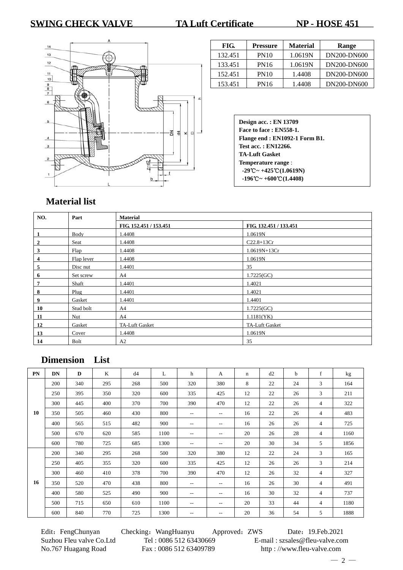## **SWING CHECK VALVE TA Luft Certificate NP - HOSE 451**



| FIG.    | Pressure    | <b>Material</b> | Range       |
|---------|-------------|-----------------|-------------|
| 132.451 | <b>PN10</b> | 1.0619N         | DN200-DN600 |
| 133.451 | <b>PN16</b> | 1.0619N         | DN200-DN600 |
| 152.451 | <b>PN10</b> | 1.4408          | DN200-DN600 |
| 153.451 | PN16        | 1.4408          | DN200-DN600 |

**Design acc. : EN 13709 Face to face : EN558-1. Flange end : EN1092-1 Form B1. Test acc. : EN12266. TA-Luft Gasket Temperature range** : **-29℃ ~ +425℃ (1.0619N) -196 ~ +** ℃ **600 (** ℃ **1.4408)**

# **Material list**

| NO. | Part       | <b>Material</b>        |                        |  |  |  |  |  |
|-----|------------|------------------------|------------------------|--|--|--|--|--|
|     |            | FIG. 152.451 / 153.451 | FIG. 132.451 / 133.451 |  |  |  |  |  |
|     | Body       | 1.4408                 | 1.0619N                |  |  |  |  |  |
| 2   | Seat       | 1.4408                 | $C22.8+13Cr$           |  |  |  |  |  |
| 3   | Flap       | 1.4408                 | $1.0619N+13Cr$         |  |  |  |  |  |
| 4   | Flap lever | 1.4408                 | 1.0619N                |  |  |  |  |  |
| 5   | Disc nut   | 1.4401                 | 35                     |  |  |  |  |  |
| 6   | Set screw  | A4                     | 1.7225(GC)             |  |  |  |  |  |
| 7   | Shaft      | 1.4401                 | 1.4021                 |  |  |  |  |  |
| 8   | Plug       | 1.4401                 | 1.4021                 |  |  |  |  |  |
| 9   | Gasket     | 1.4401                 | 1.4401                 |  |  |  |  |  |
| 10  | Stud bolt  | A4                     | 1.7225(GC)             |  |  |  |  |  |
| 11  | Nut        | A4                     | 1.1181(YK)             |  |  |  |  |  |
| 12  | Gasket     | TA-Luft Gasket         | TA-Luft Gasket         |  |  |  |  |  |
| 13  | Cover      | 1.4408                 | 1.0619N                |  |  |  |  |  |
| 14  | Bolt       | A2                     | 35                     |  |  |  |  |  |

## **Dimension List**

| PN | <b>DN</b> | D   | K   | d4  | L    | h                 | A                 | $\mathbf n$ | d2 | b  | f | kg   |
|----|-----------|-----|-----|-----|------|-------------------|-------------------|-------------|----|----|---|------|
|    | 200       | 340 | 295 | 268 | 500  | 320               | 380               | 8           | 22 | 24 | 3 | 164  |
|    | 250       | 395 | 350 | 320 | 600  | 335               | 425               | 12          | 22 | 26 | 3 | 211  |
|    | 300       | 445 | 400 | 370 | 700  | 390               | 470               | 12          | 22 | 26 | 4 | 322  |
| 10 | 350       | 505 | 460 | 430 | 800  | $-$               | $\qquad \qquad -$ | 16          | 22 | 26 | 4 | 483  |
|    | 400       | 565 | 515 | 482 | 900  | $\qquad \qquad -$ | $\qquad \qquad -$ | 16          | 26 | 26 | 4 | 725  |
|    | 500       | 670 | 620 | 585 | 1100 | $-$               | $\qquad \qquad -$ | 20          | 26 | 28 | 4 | 1160 |
|    | 600       | 780 | 725 | 685 | 1300 | $-$               | $\qquad \qquad -$ | 20          | 30 | 34 | 5 | 1856 |
|    | 200       | 340 | 295 | 268 | 500  | 320               | 380               | 12          | 22 | 24 | 3 | 165  |
|    | 250       | 405 | 355 | 320 | 600  | 335               | 425               | 12          | 26 | 26 | 3 | 214  |
|    | 300       | 460 | 410 | 378 | 700  | 390               | 470               | 12          | 26 | 32 | 4 | 327  |
| 16 | 350       | 520 | 470 | 438 | 800  | $-\,-$            | $\qquad \qquad -$ | 16          | 26 | 30 | 4 | 491  |
|    | 400       | 580 | 525 | 490 | 900  | $-$               | $\qquad \qquad -$ | 16          | 30 | 32 | 4 | 737  |
|    | 500       | 715 | 650 | 610 | 1100 | $-$               | $- -$             | 20          | 33 | 44 | 4 | 1180 |
|    | 600       | 840 | 770 | 725 | 1300 | $-$               | $- -$             | 20          | 36 | 54 | 5 | 1888 |

No.767 Huagang Road Fax : 0086 512 63409789 http : //www.fleu-valve.com

Edit: FengChunyan Checking: WangHuanyu Approved: ZWS Date: 19.Feb.2021 Suzhou Fleu valve Co.Ltd Tel : 0086 512 63430669 E-mail : szsales@fleu-valve.com